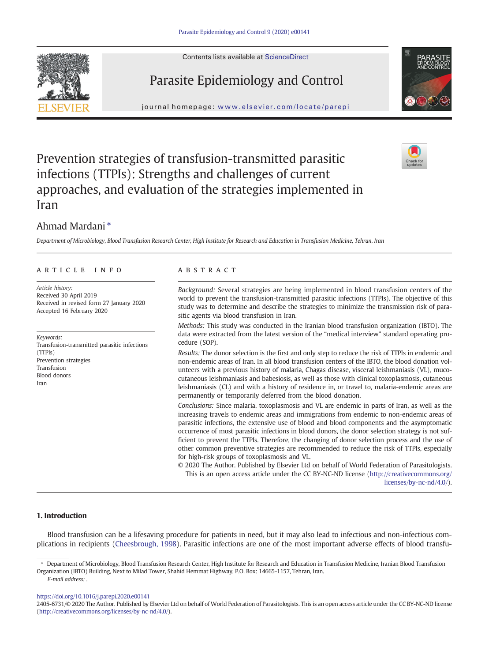



journal homepage: <www.elsevier.com/locate/parepi>



# Prevention strategies of transfusion-transmitted parasitic infections (TTPIs): Strengths and challenges of current approaches, and evaluation of the strategies implemented in Iran



## Ahmad Mardani ⁎

Department of Microbiology, Blood Transfusion Research Center, High Institute for Research and Education in Transfusion Medicine, Tehran, Iran

#### article info abstract

Article history: Received 30 April 2019 Received in revised form 27 January 2020 Accepted 16 February 2020

Keywords: Transfusion-transmitted parasitic infections (TTPIs) Prevention strategies Transfusion Blood donors Iran

Background: Several strategies are being implemented in blood transfusion centers of the world to prevent the transfusion-transmitted parasitic infections (TTPIs). The objective of this study was to determine and describe the strategies to minimize the transmission risk of parasitic agents via blood transfusion in Iran.

Methods: This study was conducted in the Iranian blood transfusion organization (IBTO). The data were extracted from the latest version of the "medical interview" standard operating procedure (SOP).

Results: The donor selection is the first and only step to reduce the risk of TTPIs in endemic and non-endemic areas of Iran. In all blood transfusion centers of the IBTO, the blood donation volunteers with a previous history of malaria, Chagas disease, visceral leishmaniasis (VL), mucocutaneous leishmaniasis and babesiosis, as well as those with clinical toxoplasmosis, cutaneous leishmaniasis (CL) and with a history of residence in, or travel to, malaria-endemic areas are permanently or temporarily deferred from the blood donation.

Conclusions: Since malaria, toxoplasmosis and VL are endemic in parts of Iran, as well as the increasing travels to endemic areas and immigrations from endemic to non-endemic areas of parasitic infections, the extensive use of blood and blood components and the asymptomatic occurrence of most parasitic infections in blood donors, the donor selection strategy is not sufficient to prevent the TTPIs. Therefore, the changing of donor selection process and the use of other common preventive strategies are recommended to reduce the risk of TTPIs, especially for high-risk groups of toxoplasmosis and VL.

© 2020 The Author. Published by Elsevier Ltd on behalf of World Federation of Parasitologists. This is an open access article under the CC BY-NC-ND license (http://creativecommons.org/ licenses/by-nc-nd/4.0/).

### 1. Introduction

Blood transfusion can be a lifesaving procedure for patients in need, but it may also lead to infectious and non-infectious complications in recipients [\(Cheesbrough, 1998](#page-7-0)). Parasitic infections are one of the most important adverse effects of blood transfu-

<https://doi.org/10.1016/j.parepi.2020.e00141>

Department of Microbiology, Blood Transfusion Research Center, High Institute for Research and Education in Transfusion Medicine, Iranian Blood Transfusion Organization (IBTO) Building, Next to Milad Tower, Shahid Hemmat Highway, P.O. Box: 14665-1157, Tehran, Iran. E-mail address: .

<sup>2405-6731/© 2020</sup> The Author. Published by Elsevier Ltd on behalf of World Federation of Parasitologists. This is an open access article under the CC BY-NC-ND license (http://creativecommons.org/licenses/by-nc-nd/4.0/).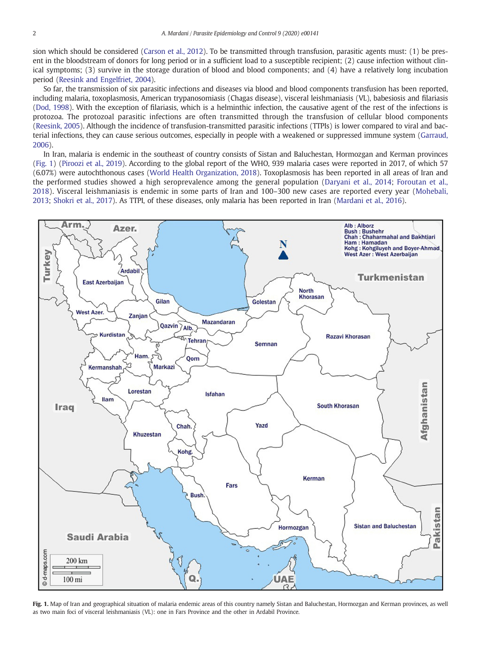sion which should be considered [\(Carson et al., 2012\)](#page-7-0). To be transmitted through transfusion, parasitic agents must: (1) be present in the bloodstream of donors for long period or in a sufficient load to a susceptible recipient; (2) cause infection without clinical symptoms; (3) survive in the storage duration of blood and blood components; and (4) have a relatively long incubation period [\(Reesink and Engelfriet, 2004\)](#page-8-0).

So far, the transmission of six parasitic infections and diseases via blood and blood components transfusion has been reported, including malaria, toxoplasmosis, American trypanosomiasis (Chagas disease), visceral leishmaniasis (VL), babesiosis and filariasis [\(Dod, 1998](#page-7-0)). With the exception of filariasis, which is a helminthic infection, the causative agent of the rest of the infections is protozoa. The protozoal parasitic infections are often transmitted through the transfusion of cellular blood components [\(Reesink, 2005\)](#page-8-0). Although the incidence of transfusion-transmitted parasitic infections (TTPIs) is lower compared to viral and bacterial infections, they can cause serious outcomes, especially in people with a weakened or suppressed immune system [\(Garraud,](#page-7-0) [2006\)](#page-7-0).

In Iran, malaria is endemic in the southeast of country consists of Sistan and Baluchestan, Hormozgan and Kerman provinces (Fig. 1) [\(Piroozi et al., 2019\)](#page-8-0). According to the global report of the WHO, 939 malaria cases were reported in 2017, of which 57 (6.07%) were autochthonous cases [\(World Health Organization, 2018](#page-9-0)). Toxoplasmosis has been reported in all areas of Iran and the performed studies showed a high seroprevalence among the general population ([Daryani et al., 2014;](#page-7-0) [Foroutan et al.,](#page-7-0) [2018](#page-7-0)). Visceral leishmaniasis is endemic in some parts of Iran and 100–300 new cases are reported every year ([Mohebali,](#page-8-0) [2013;](#page-8-0) [Shokri et al., 2017](#page-8-0)). As TTPI, of these diseases, only malaria has been reported in Iran [\(Mardani et al., 2016](#page-8-0)).



Fig. 1. Map of Iran and geographical situation of malaria endemic areas of this country namely Sistan and Baluchestan, Hormozgan and Kerman provinces, as well as two main foci of visceral leishmaniasis (VL): one in Fars Province and the other in Ardabil Province.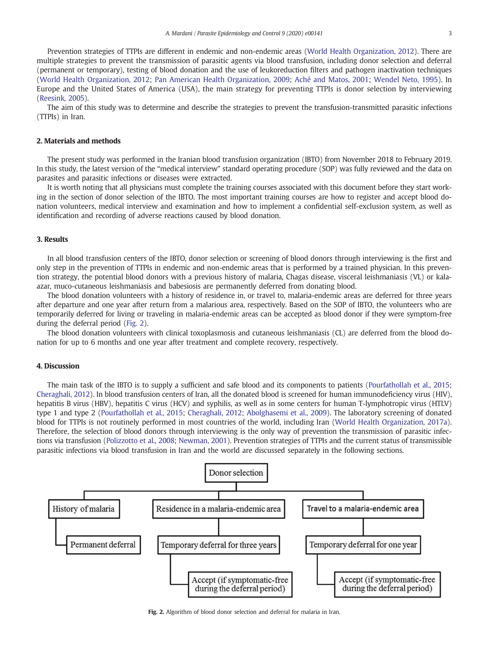<span id="page-2-0"></span>Prevention strategies of TTPIs are different in endemic and non-endemic areas [\(World Health Organization, 2012\)](#page-9-0). There are multiple strategies to prevent the transmission of parasitic agents via blood transfusion, including donor selection and deferral (permanent or temporary), testing of blood donation and the use of leukoreduction filters and pathogen inactivation techniques ([World Health Organization, 2012](#page-9-0); [Pan American Health Organization, 2009](#page-8-0); [Aché and Matos, 2001](#page-7-0); [Wendel Neto, 1995\)](#page-9-0). In Europe and the United States of America (USA), the main strategy for preventing TTPIs is donor selection by interviewing ([Reesink, 2005\)](#page-8-0).

The aim of this study was to determine and describe the strategies to prevent the transfusion-transmitted parasitic infections (TTPIs) in Iran.

#### 2. Materials and methods

The present study was performed in the Iranian blood transfusion organization (IBTO) from November 2018 to February 2019. In this study, the latest version of the "medical interview" standard operating procedure (SOP) was fully reviewed and the data on parasites and parasitic infections or diseases were extracted.

It is worth noting that all physicians must complete the training courses associated with this document before they start working in the section of donor selection of the IBTO. The most important training courses are how to register and accept blood donation volunteers, medical interview and examination and how to implement a confidential self-exclusion system, as well as identification and recording of adverse reactions caused by blood donation.

#### 3. Results

In all blood transfusion centers of the IBTO, donor selection or screening of blood donors through interviewing is the first and only step in the prevention of TTPIs in endemic and non-endemic areas that is performed by a trained physician. In this prevention strategy, the potential blood donors with a previous history of malaria, Chagas disease, visceral leishmaniasis (VL) or kalaazar, muco-cutaneous leishmaniasis and babesiosis are permanently deferred from donating blood.

The blood donation volunteers with a history of residence in, or travel to, malaria-endemic areas are deferred for three years after departure and one year after return from a malarious area, respectively. Based on the SOP of IBTO, the volunteers who are temporarily deferred for living or traveling in malaria-endemic areas can be accepted as blood donor if they were symptom-free during the deferral period (Fig. 2).

The blood donation volunteers with clinical toxoplasmosis and cutaneous leishmaniasis (CL) are deferred from the blood donation for up to 6 months and one year after treatment and complete recovery, respectively.

#### 4. Discussion

The main task of the IBTO is to supply a sufficient and safe blood and its components to patients ([Pourfathollah et al., 2015;](#page-8-0) [Cheraghali, 2012\)](#page-7-0). In blood transfusion centers of Iran, all the donated blood is screened for human immunodeficiency virus (HIV), hepatitis B virus (HBV), hepatitis C virus (HCV) and syphilis, as well as in some centers for human T-lymphotropic virus (HTLV) type 1 and type 2 [\(Pourfathollah et al., 2015](#page-8-0); [Cheraghali, 2012;](#page-7-0) [Abolghasemi et al., 2009\)](#page-7-0). The laboratory screening of donated blood for TTPIs is not routinely performed in most countries of the world, including Iran [\(World Health Organization, 2017a](#page-9-0)). Therefore, the selection of blood donors through interviewing is the only way of prevention the transmission of parasitic infections via transfusion [\(Polizzotto et al., 2008;](#page-8-0) [Newman, 2001\)](#page-8-0). Prevention strategies of TTPIs and the current status of transmissible parasitic infections via blood transfusion in Iran and the world are discussed separately in the following sections.



Fig. 2. Algorithm of blood donor selection and deferral for malaria in Iran.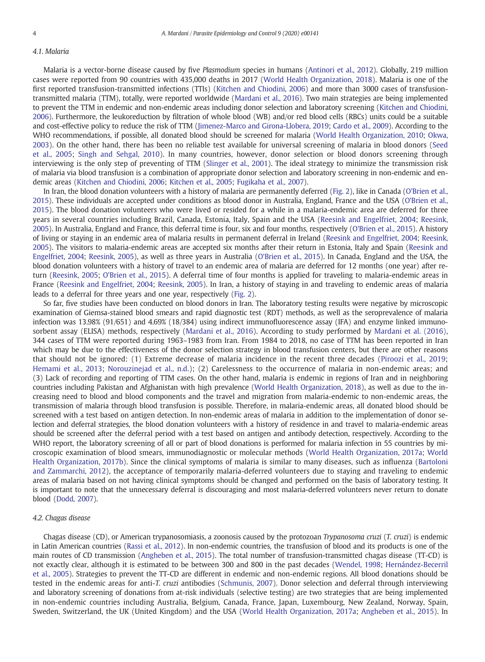#### 4.1. Malaria

Malaria is a vector-borne disease caused by five Plasmodium species in humans [\(Antinori et al., 2012](#page-7-0)). Globally, 219 million cases were reported from 90 countries with 435,000 deaths in 2017 ([World Health Organization, 2018\)](#page-9-0). Malaria is one of the first reported transfusion-transmitted infections (TTIs) ([Kitchen and Chiodini, 2006\)](#page-8-0) and more than 3000 cases of transfusiontransmitted malaria (TTM), totally, were reported worldwide ([Mardani et al., 2016\)](#page-8-0). Two main strategies are being implemented to prevent the TTM in endemic and non-endemic areas including donor selection and laboratory screening [\(Kitchen and Chiodini,](#page-8-0) [2006\)](#page-8-0). Furthermore, the leukoreduction by filtration of whole blood (WB) and/or red blood cells (RBCs) units could be a suitable and cost-effective policy to reduce the risk of TTM [\(Jimenez-Marco and Girona-Llobera, 2019](#page-8-0); [Cardo et al., 2009](#page-7-0)). According to the WHO recommendations, if possible, all donated blood should be screened for malaria [\(World Health Organization, 2010](#page-9-0); [Okwa,](#page-8-0) [2003](#page-8-0)). On the other hand, there has been no reliable test available for universal screening of malaria in blood donors ([Seed](#page-8-0) [et al., 2005](#page-8-0); [Singh and Sehgal, 2010](#page-8-0)). In many countries, however, donor selection or blood donors screening through interviewing is the only step of preventing of TTM ([Slinger et al., 2001\)](#page-8-0). The ideal strategy to minimize the transmission risk of malaria via blood transfusion is a combination of appropriate donor selection and laboratory screening in non-endemic and endemic areas [\(Kitchen and Chiodini, 2006;](#page-8-0) [Kitchen et al., 2005;](#page-8-0) [Fugikaha et al., 2007](#page-7-0)).

In Iran, the blood donation volunteers with a history of malaria are permanently deferred ([Fig. 2\)](#page-2-0), like in Canada ([O'Brien et al.,](#page-8-0) [2015\)](#page-8-0). These individuals are accepted under conditions as blood donor in Australia, England, France and the USA ([O'Brien et al.,](#page-8-0) [2015\)](#page-8-0). The blood donation volunteers who were lived or resided for a while in a malaria-endemic area are deferred for three years in several countries including Brazil, Canada, Estonia, Italy, Spain and the USA ([Reesink and Engelfriet, 2004;](#page-8-0) [Reesink,](#page-8-0) [2005\)](#page-8-0). In Australia, England and France, this deferral time is four, six and four months, respectively [\(O'Brien et al., 2015](#page-8-0)). A history of living or staying in an endemic area of malaria results in permanent deferral in Ireland [\(Reesink and Engelfriet, 2004](#page-8-0); [Reesink,](#page-8-0) [2005\)](#page-8-0). The visitors to malaria-endemic areas are accepted six months after their return in Estonia, Italy and Spain [\(Reesink and](#page-8-0) [Engelfriet, 2004](#page-8-0); [Reesink, 2005](#page-8-0)), as well as three years in Australia ([O'Brien et al., 2015\)](#page-8-0). In Canada, England and the USA, the blood donation volunteers with a history of travel to an endemic area of malaria are deferred for 12 months (one year) after return [\(Reesink, 2005;](#page-8-0) [O'Brien et al., 2015](#page-8-0)). A deferral time of four months is applied for traveling to malaria-endemic areas in France [\(Reesink and Engelfriet, 2004;](#page-8-0) [Reesink, 2005\)](#page-8-0). In Iran, a history of staying in and traveling to endemic areas of malaria leads to a deferral for three years and one year, respectively [\(Fig. 2](#page-2-0)).

So far, five studies have been conducted on blood donors in Iran. The laboratory testing results were negative by microscopic examination of Giemsa-stained blood smears and rapid diagnostic test (RDT) methods, as well as the seroprevalence of malaria infection was 13.98% (91/651) and 4.69% (18/384) using indirect immunofluorescence assay (IFA) and enzyme linked immunosorbent assay (ELISA) methods, respectively ([Mardani et al., 2016](#page-8-0)). According to study performed by [Mardani et al. \(2016\)](#page-8-0), 344 cases of TTM were reported during 1963–1983 from Iran. From 1984 to 2018, no case of TTM has been reported in Iran which may be due to the effectiveness of the donor selection strategy in blood transfusion centers, but there are other reasons that should not be ignored: (1) Extreme decrease of malaria incidence in the recent three decades ([Piroozi et al., 2019](#page-8-0); [Hemami et al., 2013;](#page-7-0) [Norouzinejad et al., n.d.](#page-8-0)); (2) Carelessness to the occurrence of malaria in non-endemic areas; and (3) Lack of recording and reporting of TTM cases. On the other hand, malaria is endemic in regions of Iran and in neighboring countries including Pakistan and Afghanistan with high prevalence ([World Health Organization, 2018\)](#page-9-0), as well as due to the increasing need to blood and blood components and the travel and migration from malaria-endemic to non-endemic areas, the transmission of malaria through blood transfusion is possible. Therefore, in malaria-endemic areas, all donated blood should be screened with a test based on antigen detection. In non-endemic areas of malaria in addition to the implementation of donor selection and deferral strategies, the blood donation volunteers with a history of residence in and travel to malaria-endemic areas should be screened after the deferral period with a test based on antigen and antibody detection, respectively. According to the WHO report, the laboratory screening of all or part of blood donations is performed for malaria infection in 55 countries by microscopic examination of blood smears, immunodiagnostic or molecular methods ([World Health Organization, 2017a](#page-9-0); [World](#page-9-0) [Health Organization, 2017b](#page-9-0)). Since the clinical symptoms of malaria is similar to many diseases, such as influenza ([Bartoloni](#page-7-0) [and Zammarchi, 2012\)](#page-7-0), the acceptance of temporarily malaria-deferred volunteers due to staying and traveling to endemic areas of malaria based on not having clinical symptoms should be changed and performed on the basis of laboratory testing. It is important to note that the unnecessary deferral is discouraging and most malaria-deferred volunteers never return to donate blood [\(Dodd, 2007\)](#page-7-0).

#### 4.2. Chagas disease

Chagas disease (CD), or American trypanosomiasis, a zoonosis caused by the protozoan Trypanosoma cruzi (T. cruzi) is endemic in Latin American countries [\(Rassi et al., 2012\)](#page-8-0). In non-endemic countries, the transfusion of blood and its products is one of the main routes of CD transmission [\(Angheben et al., 2015\)](#page-7-0). The total number of transfusion-transmitted chagas disease (TT-CD) is not exactly clear, although it is estimated to be between 300 and 800 in the past decades [\(Wendel, 1998](#page-9-0); [Hernández-Becerril](#page-7-0) [et al., 2005](#page-7-0)). Strategies to prevent the TT-CD are different in endemic and non-endemic regions. All blood donations should be tested in the endemic areas for anti-T. cruzi antibodies ([Schmunis, 2007](#page-8-0)). Donor selection and deferral through interviewing and laboratory screening of donations from at-risk individuals (selective testing) are two strategies that are being implemented in non-endemic countries including Australia, Belgium, Canada, France, Japan, Luxembourg, New Zealand, Norway, Spain, Sweden, Switzerland, the UK (United Kingdom) and the USA [\(World Health Organization, 2017a;](#page-9-0) [Angheben et al., 2015](#page-7-0)). In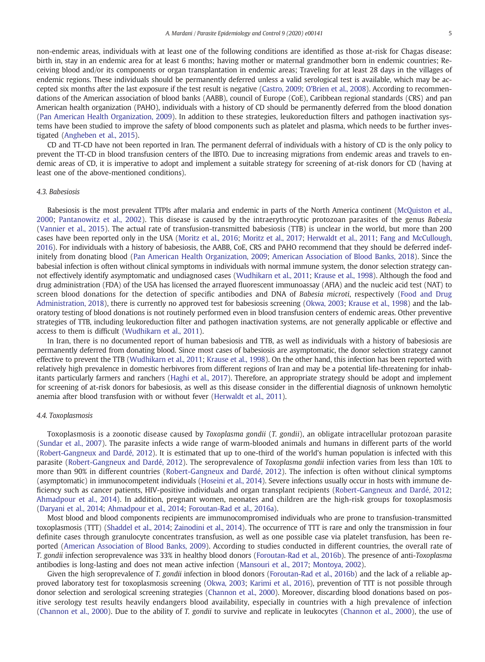non-endemic areas, individuals with at least one of the following conditions are identified as those at-risk for Chagas disease: birth in, stay in an endemic area for at least 6 months; having mother or maternal grandmother born in endemic countries; Receiving blood and/or its components or organ transplantation in endemic areas; Traveling for at least 28 days in the villages of endemic regions. These individuals should be permanently deferred unless a valid serological test is available, which may be accepted six months after the last exposure if the test result is negative [\(Castro, 2009;](#page-7-0) [O'Brien et al., 2008\)](#page-8-0). According to recommendations of the American association of blood banks (AABB), council of Europe (CoE), Caribbean regional standards (CRS) and pan American health organization (PAHO), individuals with a history of CD should be permanently deferred from the blood donation ([Pan American Health Organization, 2009\)](#page-8-0). In addition to these strategies, leukoreduction filters and pathogen inactivation systems have been studied to improve the safety of blood components such as platelet and plasma, which needs to be further investigated [\(Angheben et al., 2015](#page-7-0)).

CD and TT-CD have not been reported in Iran. The permanent deferral of individuals with a history of CD is the only policy to prevent the TT-CD in blood transfusion centers of the IBTO. Due to increasing migrations from endemic areas and travels to endemic areas of CD, it is imperative to adopt and implement a suitable strategy for screening of at-risk donors for CD (having at least one of the above-mentioned conditions).

#### 4.3. Babesiosis

Babesiosis is the most prevalent TTPIs after malaria and endemic in parts of the North America continent [\(McQuiston et al.,](#page-8-0) [2000;](#page-8-0) [Pantanowitz et al., 2002](#page-8-0)). This disease is caused by the intraerythrocytic protozoan parasites of the genus Babesia ([Vannier et al., 2015](#page-9-0)). The actual rate of transfusion-transmitted babesiosis (TTB) is unclear in the world, but more than 200 cases have been reported only in the USA [\(Moritz et al., 2016](#page-8-0); [Moritz et al., 2017](#page-8-0); [Herwaldt et al., 2011;](#page-8-0) [Fang and McCullough,](#page-7-0) [2016](#page-7-0)). For individuals with a history of babesiosis, the AABB, CoE, CRS and PAHO recommend that they should be deferred indefinitely from donating blood ([Pan American Health Organization, 2009](#page-8-0); [American Association of Blood Banks, 2018](#page-7-0)). Since the babesial infection is often without clinical symptoms in individuals with normal immune system, the donor selection strategy cannot effectively identify asymptomatic and undiagnosed cases [\(Wudhikarn et al., 2011;](#page-9-0) [Krause et al., 1998\)](#page-8-0). Although the food and drug administration (FDA) of the USA has licensed the arrayed fluorescent immunoassay (AFIA) and the nucleic acid test (NAT) to screen blood donations for the detection of specific antibodies and DNA of Babesia microti, respectively ([Food and Drug](#page-7-0) [Administration, 2018\)](#page-7-0), there is currently no approved test for babesiosis screening ([Okwa, 2003](#page-8-0); [Krause et al., 1998\)](#page-8-0) and the laboratory testing of blood donations is not routinely performed even in blood transfusion centers of endemic areas. Other preventive strategies of TTB, including leukoreduction filter and pathogen inactivation systems, are not generally applicable or effective and access to them is difficult [\(Wudhikarn et al., 2011\)](#page-9-0).

In Iran, there is no documented report of human babesiosis and TTB, as well as individuals with a history of babesiosis are permanently deferred from donating blood. Since most cases of babesiosis are asymptomatic, the donor selection strategy cannot effective to prevent the TTB ([Wudhikarn et al., 2011](#page-9-0); [Krause et al., 1998\)](#page-8-0). On the other hand, this infection has been reported with relatively high prevalence in domestic herbivores from different regions of Iran and may be a potential life-threatening for inhabitants particularly farmers and ranchers ([Haghi et al., 2017\)](#page-7-0). Therefore, an appropriate strategy should be adopt and implement for screening of at-risk donors for babesiosis, as well as this disease consider in the differential diagnosis of unknown hemolytic anemia after blood transfusion with or without fever [\(Herwaldt et al., 2011\)](#page-8-0).

#### 4.4. Toxoplasmosis

Toxoplasmosis is a zoonotic disease caused by Toxoplasma gondii (T. gondii), an obligate intracellular protozoan parasite ([Sundar et al., 2007](#page-8-0)). The parasite infects a wide range of warm-blooded animals and humans in different parts of the world ([Robert-Gangneux and Dardé, 2012\)](#page-8-0). It is estimated that up to one-third of the world's human population is infected with this parasite ([Robert-Gangneux and Dardé, 2012](#page-8-0)). The seroprevalence of Toxoplasma gondii infection varies from less than 10% to more than 90% in different countries [\(Robert-Gangneux and Dardé, 2012](#page-8-0)). The infection is often without clinical symptoms (asymptomatic) in immunocompetent individuals ([Hoseini et al., 2014](#page-8-0)). Severe infections usually occur in hosts with immune deficiency such as cancer patients, HIV-positive individuals and organ transplant recipients [\(Robert-Gangneux and Dardé, 2012;](#page-8-0) [Ahmadpour et al., 2014](#page-7-0)). In addition, pregnant women, neonates and children are the high-risk groups for toxoplasmosis ([Daryani et al., 2014](#page-7-0); [Ahmadpour et al., 2014;](#page-7-0) [Foroutan-Rad et al., 2016a](#page-7-0)).

Most blood and blood components recipients are immunocompromised individuals who are prone to transfusion-transmitted toxoplasmosis (TTT) [\(Shaddel et al., 2014;](#page-8-0) [Zainodini et al., 2014\)](#page-9-0). The occurrence of TTT is rare and only the transmission in four definite cases through granulocyte concentrates transfusion, as well as one possible case via platelet transfusion, has been reported ([American Association of Blood Banks, 2009](#page-7-0)). According to studies conducted in different countries, the overall rate of T. gondii infection seroprevalence was 33% in healthy blood donors [\(Foroutan-Rad et al., 2016b](#page-7-0)). The presence of anti-Toxoplasma antibodies is long-lasting and does not mean active infection [\(Mansouri et al., 2017;](#page-8-0) [Montoya, 2002\)](#page-8-0).

Given the high seroprevalence of T. gondii infection in blood donors [\(Foroutan-Rad et al., 2016b\)](#page-7-0) and the lack of a reliable approved laboratory test for toxoplasmosis screening [\(Okwa, 2003](#page-8-0); [Karimi et al., 2016\)](#page-8-0), prevention of TTT is not possible through donor selection and serological screening strategies ([Channon et al., 2000\)](#page-7-0). Moreover, discarding blood donations based on positive serology test results heavily endangers blood availability, especially in countries with a high prevalence of infection ([Channon et al., 2000\)](#page-7-0). Due to the ability of T. gondii to survive and replicate in leukocytes ([Channon et al., 2000](#page-7-0)), the use of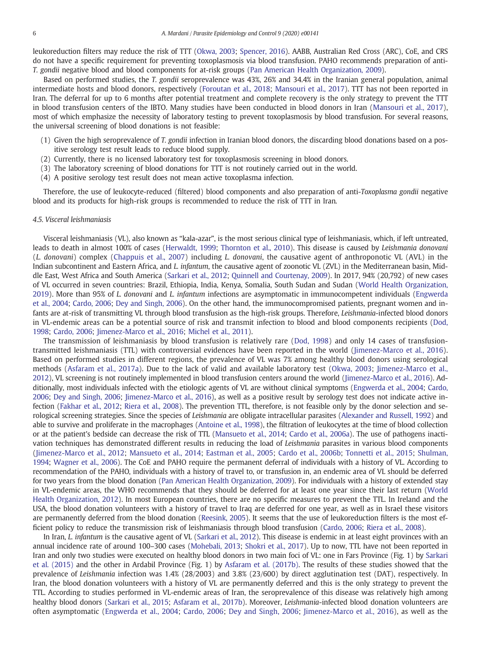leukoreduction filters may reduce the risk of TTT [\(Okwa, 2003](#page-8-0); [Spencer, 2016](#page-8-0)). AABB, Australian Red Cross (ARC), CoE, and CRS do not have a specific requirement for preventing toxoplasmosis via blood transfusion. PAHO recommends preparation of anti-T. gondii negative blood and blood components for at-risk groups [\(Pan American Health Organization, 2009](#page-8-0)).

Based on performed studies, the T. gondii seroprevalence was 43%, 26% and 34.4% in the Iranian general population, animal intermediate hosts and blood donors, respectively [\(Foroutan et al., 2018](#page-7-0); [Mansouri et al., 2017\)](#page-8-0). TTT has not been reported in Iran. The deferral for up to 6 months after potential treatment and complete recovery is the only strategy to prevent the TTT in blood transfusion centers of the IBTO. Many studies have been conducted in blood donors in Iran ([Mansouri et al., 2017\)](#page-8-0), most of which emphasize the necessity of laboratory testing to prevent toxoplasmosis by blood transfusion. For several reasons, the universal screening of blood donations is not feasible:

- (1) Given the high seroprevalence of T. gondii infection in Iranian blood donors, the discarding blood donations based on a positive serology test result leads to reduce blood supply.
- (2) Currently, there is no licensed laboratory test for toxoplasmosis screening in blood donors.
- (3) The laboratory screening of blood donations for TTT is not routinely carried out in the world.
- (4) A positive serology test result does not mean active toxoplasma infection.

Therefore, the use of leukocyte-reduced (filtered) blood components and also preparation of anti-Toxoplasma gondii negative blood and its products for high-risk groups is recommended to reduce the risk of TTT in Iran.

#### 4.5. Visceral leishmaniasis

Visceral leishmaniasis (VL), also known as "kala-azar", is the most serious clinical type of leishmaniasis, which, if left untreated, leads to death in almost 100% of cases ([Herwaldt, 1999](#page-8-0); [Thornton et al., 2010\)](#page-9-0). This disease is caused by Leishmania donovani (L. donovani) complex ([Chappuis et al., 2007\)](#page-7-0) including L. donovani, the causative agent of anthroponotic VL (AVL) in the Indian subcontinent and Eastern Africa, and L. infantum, the causative agent of zoonotic VL (ZVL) in the Mediterranean basin, Middle East, West Africa and South America [\(Sarkari et al., 2012;](#page-8-0) [Quinnell and Courtenay, 2009\)](#page-8-0). In 2017, 94% (20,792) of new cases of VL occurred in seven countries: Brazil, Ethiopia, India, Kenya, Somalia, South Sudan and Sudan [\(World Health Organization,](#page-9-0) [2019\)](#page-9-0). More than 95% of L. donovani and L. infantum infections are asymptomatic in immunocompetent individuals [\(Engwerda](#page-7-0) [et al., 2004](#page-7-0); [Cardo, 2006;](#page-7-0) [Dey and Singh, 2006\)](#page-7-0). On the other hand, the immunocompromised patients, pregnant women and infants are at-risk of transmitting VL through blood transfusion as the high-risk groups. Therefore, Leishmania-infected blood donors in VL-endemic areas can be a potential source of risk and transmit infection to blood and blood components recipients [\(Dod,](#page-7-0) [1998;](#page-7-0) [Cardo, 2006](#page-7-0); [Jimenez-Marco et al., 2016;](#page-8-0) [Michel et al., 2011\)](#page-8-0).

The transmission of leishmaniasis by blood transfusion is relatively rare [\(Dod, 1998](#page-7-0)) and only 14 cases of transfusiontransmitted leishmaniasis (TTL) with controversial evidences have been reported in the world ([Jimenez-Marco et al., 2016\)](#page-8-0). Based on performed studies in different regions, the prevalence of VL was 7% among healthy blood donors using serological methods ([Asfaram et al., 2017a\)](#page-7-0). Due to the lack of valid and available laboratory test ([Okwa, 2003](#page-8-0); [Jimenez-Marco et al.,](#page-8-0) [2012\)](#page-8-0), VL screening is not routinely implemented in blood transfusion centers around the world [\(Jimenez-Marco et al., 2016\)](#page-8-0). Additionally, most individuals infected with the etiologic agents of VL are without clinical symptoms [\(Engwerda et al., 2004](#page-7-0); [Cardo,](#page-7-0) [2006;](#page-7-0) [Dey and Singh, 2006](#page-7-0); [Jimenez-Marco et al., 2016](#page-8-0)), as well as a positive result by serology test does not indicate active infection [\(Fakhar et al., 2012](#page-7-0); [Riera et al., 2008\)](#page-8-0). The prevention TTL, therefore, is not feasible only by the donor selection and serological screening strategies. Since the species of Leishmania are obligate intracellular parasites [\(Alexander and Russell, 1992\)](#page-7-0) and able to survive and proliferate in the macrophages ([Antoine et al., 1998\)](#page-7-0), the filtration of leukocytes at the time of blood collection or at the patient's bedside can decrease the risk of TTL ([Mansueto et al., 2014;](#page-8-0) [Cardo et al., 2006a](#page-7-0)). The use of pathogens inactivation techniques has demonstrated different results in reducing the load of Leishmania parasites in various blood components [\(Jimenez-Marco et al., 2012;](#page-8-0) [Mansueto et al., 2014;](#page-8-0) [Eastman et al., 2005;](#page-7-0) [Cardo et al., 2006b;](#page-7-0) [Tonnetti et al., 2015](#page-9-0); [Shulman,](#page-8-0) [1994;](#page-8-0) [Wagner et al., 2006\)](#page-9-0). The CoE and PAHO require the permanent deferral of individuals with a history of VL. According to recommendation of the PAHO, individuals with a history of travel to, or transfusion in, an endemic area of VL should be deferred for two years from the blood donation [\(Pan American Health Organization, 2009](#page-8-0)). For individuals with a history of extended stay in VL-endemic areas, the WHO recommends that they should be deferred for at least one year since their last return [\(World](#page-9-0) [Health Organization, 2012\)](#page-9-0). In most European countries, there are no specific measures to prevent the TTL. In Ireland and the USA, the blood donation volunteers with a history of travel to Iraq are deferred for one year, as well as in Israel these visitors are permanently deferred from the blood donation [\(Reesink, 2005\)](#page-8-0). It seems that the use of leukoreduction filters is the most efficient policy to reduce the transmission risk of leishmaniasis through blood transfusion [\(Cardo, 2006](#page-7-0); [Riera et al., 2008\)](#page-8-0).

In Iran, L. infantum is the causative agent of VL [\(Sarkari et al., 2012](#page-8-0)). This disease is endemic in at least eight provinces with an annual incidence rate of around 100–300 cases [\(Mohebali, 2013;](#page-8-0) [Shokri et al., 2017](#page-8-0)). Up to now, TTL have not been reported in Iran and only two studies were executed on healthy blood donors in two main foci of VL: one in Fars Province (Fig. 1) by [Sarkari](#page-8-0) [et al. \(2015\)](#page-8-0) and the other in Ardabil Province (Fig. 1) by [Asfaram et al. \(2017b\)](#page-7-0). The results of these studies showed that the prevalence of Leishmania infection was 1.4% (28/2003) and 3.8% (23/600) by direct agglutination test (DAT), respectively. In Iran, the blood donation volunteers with a history of VL are permanently deferred and this is the only strategy to prevent the TTL. According to studies performed in VL-endemic areas of Iran, the seroprevalence of this disease was relatively high among healthy blood donors ([Sarkari et al., 2015](#page-8-0); [Asfaram et al., 2017b\)](#page-7-0). Moreover, Leishmania-infected blood donation volunteers are often asymptomatic ([Engwerda et al., 2004](#page-7-0); [Cardo, 2006](#page-7-0); [Dey and Singh, 2006](#page-7-0); [Jimenez-Marco et al., 2016](#page-8-0)), as well as the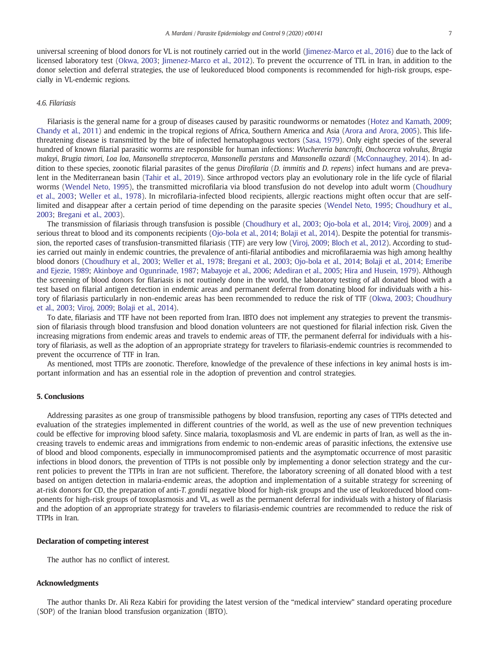universal screening of blood donors for VL is not routinely carried out in the world ([Jimenez-Marco et al., 2016\)](#page-8-0) due to the lack of licensed laboratory test [\(Okwa, 2003;](#page-8-0) [Jimenez-Marco et al., 2012](#page-8-0)). To prevent the occurrence of TTL in Iran, in addition to the donor selection and deferral strategies, the use of leukoreduced blood components is recommended for high-risk groups, especially in VL-endemic regions.

#### 4.6. Filariasis

Filariasis is the general name for a group of diseases caused by parasitic roundworms or nematodes [\(Hotez and Kamath, 2009;](#page-8-0) [Chandy et al., 2011\)](#page-7-0) and endemic in the tropical regions of Africa, Southern America and Asia [\(Arora and Arora, 2005](#page-7-0)). This lifethreatening disease is transmitted by the bite of infected hematophagous vectors [\(Sasa, 1979](#page-8-0)). Only eight species of the several hundred of known filarial parasitic worms are responsible for human infections: Wuchereria bancrofti, Onchocerca volvulus, Brugia malayi, Brugia timori, Loa loa, Mansonella streptocerca, Mansonella perstans and Mansonella ozzardi [\(McConnaughey, 2014\)](#page-8-0). In addition to these species, zoonotic filarial parasites of the genus Dirofilaria (D. immitis and D. repens) infect humans and are prevalent in the Mediterranean basin [\(Tahir et al., 2019\)](#page-9-0). Since arthropod vectors play an evolutionary role in the life cycle of filarial worms [\(Wendel Neto, 1995\)](#page-9-0), the transmitted microfilaria via blood transfusion do not develop into adult worm ([Choudhury](#page-7-0) [et al., 2003](#page-7-0); [Weller et al., 1978\)](#page-9-0). In microfilaria-infected blood recipients, allergic reactions might often occur that are selflimited and disappear after a certain period of time depending on the parasite species [\(Wendel Neto, 1995;](#page-9-0) [Choudhury et al.,](#page-7-0) [2003](#page-7-0); [Bregani et al., 2003\)](#page-7-0).

The transmission of filariasis through transfusion is possible ([Choudhury et al., 2003](#page-7-0); [Ojo-bola et al., 2014](#page-8-0); [Viroj, 2009](#page-9-0)) and a serious threat to blood and its components recipients [\(Ojo-bola et al., 2014;](#page-8-0) [Bolaji et al., 2014](#page-7-0)). Despite the potential for transmission, the reported cases of transfusion-transmitted filariasis (TTF) are very low [\(Viroj, 2009](#page-9-0); [Bloch et al., 2012\)](#page-7-0). According to studies carried out mainly in endemic countries, the prevalence of anti-filarial antibodies and microfilaraemia was high among healthy blood donors [\(Choudhury et al., 2003;](#page-7-0) [Weller et al., 1978;](#page-9-0) [Bregani et al., 2003](#page-7-0); [Ojo-bola et al., 2014](#page-8-0); [Bolaji et al., 2014](#page-7-0); [Emeribe](#page-7-0) [and Ejezie, 1989;](#page-7-0) [Akinboye and Ogunrinade, 1987;](#page-7-0) [Mabayoje et al., 2006](#page-8-0); [Adediran et al., 2005;](#page-7-0) [Hira and Husein, 1979\)](#page-8-0). Although the screening of blood donors for filariasis is not routinely done in the world, the laboratory testing of all donated blood with a test based on filarial antigen detection in endemic areas and permanent deferral from donating blood for individuals with a history of filariasis particularly in non-endemic areas has been recommended to reduce the risk of TTF ([Okwa, 2003](#page-8-0); [Choudhury](#page-7-0) [et al., 2003](#page-7-0); [Viroj, 2009;](#page-9-0) [Bolaji et al., 2014\)](#page-7-0).

To date, filariasis and TTF have not been reported from Iran. IBTO does not implement any strategies to prevent the transmission of filariasis through blood transfusion and blood donation volunteers are not questioned for filarial infection risk. Given the increasing migrations from endemic areas and travels to endemic areas of TTF, the permanent deferral for individuals with a history of filariasis, as well as the adoption of an appropriate strategy for travelers to filariasis-endemic countries is recommended to prevent the occurrence of TTF in Iran.

As mentioned, most TTPIs are zoonotic. Therefore, knowledge of the prevalence of these infections in key animal hosts is important information and has an essential role in the adoption of prevention and control strategies.

#### 5. Conclusions

Addressing parasites as one group of transmissible pathogens by blood transfusion, reporting any cases of TTPIs detected and evaluation of the strategies implemented in different countries of the world, as well as the use of new prevention techniques could be effective for improving blood safety. Since malaria, toxoplasmosis and VL are endemic in parts of Iran, as well as the increasing travels to endemic areas and immigrations from endemic to non-endemic areas of parasitic infections, the extensive use of blood and blood components, especially in immunocompromised patients and the asymptomatic occurrence of most parasitic infections in blood donors, the prevention of TTPIs is not possible only by implementing a donor selection strategy and the current policies to prevent the TTPIs in Iran are not sufficient. Therefore, the laboratory screening of all donated blood with a test based on antigen detection in malaria-endemic areas, the adoption and implementation of a suitable strategy for screening of at-risk donors for CD, the preparation of anti-T. gondii negative blood for high-risk groups and the use of leukoreduced blood components for high-risk groups of toxoplasmosis and VL, as well as the permanent deferral for individuals with a history of filariasis and the adoption of an appropriate strategy for travelers to filariasis-endemic countries are recommended to reduce the risk of TTPIs in Iran.

#### Declaration of competing interest

The author has no conflict of interest.

#### Acknowledgments

The author thanks Dr. Ali Reza Kabiri for providing the latest version of the "medical interview" standard operating procedure (SOP) of the Iranian blood transfusion organization (IBTO).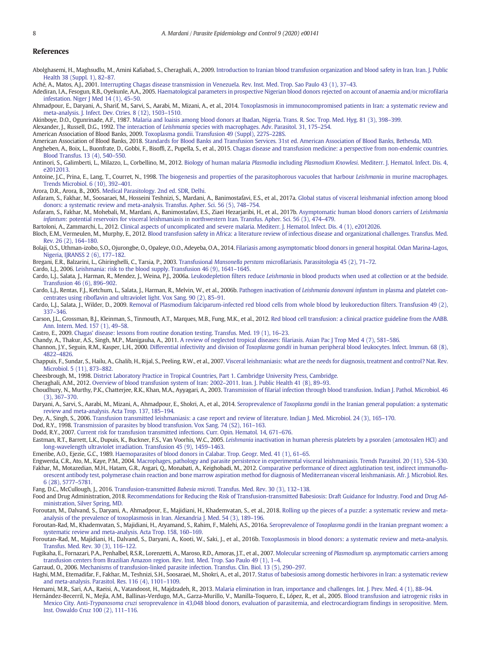#### <span id="page-7-0"></span>References

Abolghasemi, H., Maghsudlu, M., Amini Kafiabad, S., Cheraghali, A., 2009. [Introduction to Iranian blood transfusion organization and blood safety in Iran. Iran. J. Public](http://refhub.elsevier.com/S2405-6731(20)30010-6/rf0005) [Health 38 \(Suppl. 1\), 82](http://refhub.elsevier.com/S2405-6731(20)30010-6/rf0005)–87.

Aché, A., Matos, A.J., 2001. [Interrupting Chagas disease transmission in Venezuela. Rev. Inst. Med. Trop. Sao Paulo 43 \(1\), 37](http://refhub.elsevier.com/S2405-6731(20)30010-6/rf0010)–43.

Adediran, I.A., Fesogun, R.B., Oyekunle, A.A., 2005. [Haematological parameters in prospective Nigerian blood donors rejected on account of anaemia and/or microfilaria](http://refhub.elsevier.com/S2405-6731(20)30010-6/rf0015) [infestation. Niger J Med 14 \(1\), 45](http://refhub.elsevier.com/S2405-6731(20)30010-6/rf0015)–50.

Ahmadpour, E., Daryani, A., Sharif, M., Sarvi, S., Aarabi, M., Mizani, A., et al., 2014. [Toxoplasmosis in immunocompromised patients in Iran: a systematic review and](http://refhub.elsevier.com/S2405-6731(20)30010-6/rf0020) [meta-analysis. J. Infect. Dev. Ctries. 8 \(12\), 1503](http://refhub.elsevier.com/S2405-6731(20)30010-6/rf0020)–1510.

Akinboye, D.O., Ogunrinade, A.F., 1987. [Malaria and loaisis among blood donors at Ibadan, Nigeria. Trans. R. Soc. Trop. Med. Hyg. 81 \(3\), 398](http://refhub.elsevier.com/S2405-6731(20)30010-6/rf0025)–399.

Alexander, J., Russell, D.G., 1992. The interaction of Leishmania [species with macrophages. Adv. Parasitol. 31, 175](http://refhub.elsevier.com/S2405-6731(20)30010-6/rf0030)–254.

American Association of Blood Banks, 2009. [Toxoplasma gondii. Transfusion 49 \(Suppl\), 227S](http://refhub.elsevier.com/S2405-6731(20)30010-6/rf0035)–228S.

American Association of Blood Banks, 2018. [Standards for Blood Banks and Transfusion Services. 31st ed. American Association of Blood Banks, Bethesda, MD](http://refhub.elsevier.com/S2405-6731(20)30010-6/rf0040).

- Angheben, A., Boix, L., Buonfrate, D., Gobbi, F., Bisoffi, Z., Pupella, S., et al., 2015. [Chagas disease and transfusion medicine: a perspective from non-endemic countries.](http://refhub.elsevier.com/S2405-6731(20)30010-6/rf0045) [Blood Transfus. 13 \(4\), 540](http://refhub.elsevier.com/S2405-6731(20)30010-6/rf0045)–550.
- Antinori, S., Galimberti, L., Milazzo, L., Corbellino, M., 2012. Biology of human malaria Plasmodia including Plasmodium Knowlesi[. Mediterr. J. Hematol. Infect. Dis. 4,](http://refhub.elsevier.com/S2405-6731(20)30010-6/rf0050) [e2012013.](http://refhub.elsevier.com/S2405-6731(20)30010-6/rf0050)

Antoine, I.C., Prina, E., Lang, T., Courret, N., 1998. [The biogenesis and properties of the parasitophorous vacuoles that harbour](http://refhub.elsevier.com/S2405-6731(20)30010-6/rf0055) Leishmania in murine macrophages. [Trends Microbiol. 6 \(10\), 392](http://refhub.elsevier.com/S2405-6731(20)30010-6/rf0055)–401.

Arora, D.R., Arora, B., 2005. [Medical Parasitology. 2nd ed. SDR, Delhi.](http://refhub.elsevier.com/S2405-6731(20)30010-6/rf0060)

Asfaram, S., Fakhar, M., Soosaraei, M., Hosseini Teshnizi, S., Mardani, A., Banimostafavi, E.S., et al., 2017a. [Global status of visceral leishmanial infection among blood](http://refhub.elsevier.com/S2405-6731(20)30010-6/rf0065) [donors: a systematic review and meta-analysis. Transfus. Apher. Sci. 56 \(5\), 748](http://refhub.elsevier.com/S2405-6731(20)30010-6/rf0065)–754.

Asfaram, S., Fakhar, M., Mohebali, M., Mardani, A., Banimostafavi, E.S., Ziaei Hezarjaribi, H., et al., 2017b. [Asymptomatic human blood donors carriers of](http://refhub.elsevier.com/S2405-6731(20)30010-6/rf0070) Leishmania infantum[: potential reservoirs for visceral leishmaniasis in northwestern Iran. Transfus. Apher. Sci. 56 \(3\), 474](http://refhub.elsevier.com/S2405-6731(20)30010-6/rf0070)–479.

Bartoloni, A., Zammarchi, L., 2012. [Clinical aspects of uncomplicated and severe malaria. Mediterr. J. Hematol. Infect. Dis. 4 \(1\), e2012026.](http://refhub.elsevier.com/S2405-6731(20)30010-6/rf0075)

Bloch, E.M., Vermeulen, M., Murphy, E., 2012. [Blood transfusion safety in Africa: a literature review of infectious disease and organizational challenges. Transfus. Med.](http://refhub.elsevier.com/S2405-6731(20)30010-6/rf0080) [Rev. 26 \(2\), 164](http://refhub.elsevier.com/S2405-6731(20)30010-6/rf0080)–180.

Bolaji, O.S., Uthman-izobo, S.O., Ojurongbe, O., Opaleye, O.O., Adeyeba, O.A., 2014. [Filariasis among asymptomatic blood donors in general hospital. Odan Marina-Lagos,](http://refhub.elsevier.com/S2405-6731(20)30010-6/rf0085) [Nigeria, IJRANSS 2 \(6\), 177](http://refhub.elsevier.com/S2405-6731(20)30010-6/rf0085)–182.

Bregani, E.R., Balzarini, L., Ghiringhelli, C., Tarsia, P., 2003. Transfusional Mansonella perstans [microfilariasis. Parassitologia 45 \(2\), 71](http://refhub.elsevier.com/S2405-6731(20)30010-6/rf0090)–72.

Cardo, L.J., 2006. [Leishmania: risk to the blood supply. Transfusion 46 \(9\), 1641](http://refhub.elsevier.com/S2405-6731(20)30010-6/rf0095)–1645.

Cardo, L.J., Salata, J., Harman, R., Mendez, J., Weina, P.J., 2006a. Leukodepletion filters reduce Leishmania [in blood products when used at collection or at the bedside.](http://refhub.elsevier.com/S2405-6731(20)30010-6/rf0100) [Transfusion 46 \(6\), 896](http://refhub.elsevier.com/S2405-6731(20)30010-6/rf0100)–902.

- Cardo, L.J., Rentas, F.J., Ketchum, L., Salata, J., Harman, R., Melvin, W., et al., 2006b. Pathogen inactivation of [Leishmania donovani infantum](http://refhub.elsevier.com/S2405-6731(20)30010-6/rf0105) in plasma and platelet con[centrates using riboflavin and ultraviolet light. Vox Sang. 90 \(2\), 85](http://refhub.elsevier.com/S2405-6731(20)30010-6/rf0105)–91.
- Cardo, L.J., Salata, J., Wilder, D., 2009. [Removal of Plasmodium falciparum-infected red blood cells from whole blood by leukoreduction filters. Transfusion 49 \(2\),](http://refhub.elsevier.com/S2405-6731(20)30010-6/rf0110) 337–[346.](http://refhub.elsevier.com/S2405-6731(20)30010-6/rf0110)
- Carson, J.L., Grossman, B.J., Kleinman, S., Tinmouth, A.T., Marques, M.B., Fung, M.K., et al., 2012. [Red blood cell transfusion: a clinical practice guideline from the AABB.](http://refhub.elsevier.com/S2405-6731(20)30010-6/rf0115) [Ann. Intern. Med. 157 \(1\), 49](http://refhub.elsevier.com/S2405-6731(20)30010-6/rf0115)–58.
- Castro, E., 2009. [Chagas' disease: lessons from routine donation testing. Transfus. Med. 19 \(1\), 16](http://refhub.elsevier.com/S2405-6731(20)30010-6/rf0120)–23.

Chandy, A., Thakur, A.S., Singh, M.P., Manigauha, A., 2011. [A review of neglected tropical diseases: filariasis. Asian Pac J Trop Med 4 \(7\), 581](http://refhub.elsevier.com/S2405-6731(20)30010-6/rf0125)–586.

Channon, J.Y., Seguin, R.M., Kasper, L.H., 2000. Differential infectivity and division of Toxoplasma gondii [in human peripheral blood leukocytes. Infect. Immun. 68 \(8\),](http://refhub.elsevier.com/S2405-6731(20)30010-6/rf0130) 4822–[4826.](http://refhub.elsevier.com/S2405-6731(20)30010-6/rf0130)

Chappuis, F., Sundar, S., Hailu, A., Ghalib, H., Rijal, S., Peeling, R.W., et al., 2007. [Visceral leishmaniasis: what are the needs for diagnosis, treatment and control? Nat. Rev.](http://refhub.elsevier.com/S2405-6731(20)30010-6/rf0135) [Microbiol. 5 \(11\), 873](http://refhub.elsevier.com/S2405-6731(20)30010-6/rf0135)–882.

Cheesbrough, M., 1998. [District Laboratory Practice in Tropical Countries, Part 1. Cambridge University Press, Cambridge](http://refhub.elsevier.com/S2405-6731(20)30010-6/rf0140).

Cheraghali, A.M., 2012. [Overview of blood transfusion system of Iran: 2002](http://refhub.elsevier.com/S2405-6731(20)30010-6/rf0145)–2011. Iran. J. Public Health 41 (8), 89–93.

Choudhury, N., Murthy, P.K., Chatterjee, R.K., Khan, M.A., Ayyagari, A., 2003. [Transmission of filarial infection through blood transfusion. Indian J. Pathol. Microbiol. 46](http://refhub.elsevier.com/S2405-6731(20)30010-6/rf0150) [\(3\), 367](http://refhub.elsevier.com/S2405-6731(20)30010-6/rf0150)–370.

Daryani, A., Sarvi, S., Aarabi, M., Mizani, A., Ahmadpour, E., Shokri, A., et al., 2014. Seroprevalence of Toxoplasma gondii [in the Iranian general population: a systematic](http://refhub.elsevier.com/S2405-6731(20)30010-6/rf0155) [review and meta-analysis. Acta Trop. 137, 185](http://refhub.elsevier.com/S2405-6731(20)30010-6/rf0155)–194.

Dey, A., Singh, S., 2006. [Transfusion transmitted leishmaniasis: a case report and review of literature. Indian J. Med. Microbiol. 24 \(3\), 165](http://refhub.elsevier.com/S2405-6731(20)30010-6/rf0160)–170.

- Dod, R.Y., 1998. [Transmission of parasites by blood transfusion. Vox Sang. 74 \(S2\), 161](http://refhub.elsevier.com/S2405-6731(20)30010-6/rf0165)–163.
- Dodd, R.Y., 2007. [Current risk for transfusion transmitted infections. Curr. Opin. Hematol. 14, 671](http://refhub.elsevier.com/S2405-6731(20)30010-6/rf0170)–676.
- Eastman, R.T., Barrett, L.K., Dupuis, K., Buckner, F.S., Van Voorhis, W.C., 2005. Leishmania [inactivation in human pheresis platelets by a psoralen \(amotosalen HCl\) and](http://refhub.elsevier.com/S2405-6731(20)30010-6/rf0175) [long-wavelength ultraviolet irradiation. Transfusion 45 \(9\), 1459](http://refhub.elsevier.com/S2405-6731(20)30010-6/rf0175)–1463.

Emeribe, A.O., Ejezie, G.C., 1989. [Haemoparasites of blood donors in Calabar. Trop. Geogr. Med. 41 \(1\), 61](http://refhub.elsevier.com/S2405-6731(20)30010-6/rf0180)–65.

Engwerda, C.R., Ato, M., Kaye, P.M., 2004. [Macrophages, pathology and parasite persistence in experimental visceral leishmaniasis. Trends Parasitol. 20 \(11\), 524](http://refhub.elsevier.com/S2405-6731(20)30010-6/rf0185)–530. Fakhar, M., Motazedian, M.H., Hatam, G.R., Asgari, Q., Monabati, A., Keighobadi, M., 2012. [Comparative performance of direct agglutination test, indirect immunoflu](http://refhub.elsevier.com/S2405-6731(20)30010-6/rf0190)[orescent antibody test, polymerase chain reaction and bone marrow aspiration method for diagnosis of Mediterranean visceral leishmaniasis. Afr. J. Microbiol. Res.](http://refhub.elsevier.com/S2405-6731(20)30010-6/rf0190)

[6 \(28\), 5777](http://refhub.elsevier.com/S2405-6731(20)30010-6/rf0190)–5781.

Fang, D.C., McCullough, J., 2016. Transfusion-transmitted Babesia microti[. Transfus. Med. Rev. 30 \(3\), 132](http://refhub.elsevier.com/S2405-6731(20)30010-6/rf0195)–138.

Food and Drug Administration, 2018. [Recommendations for Reducing the Risk of Transfusion-transmitted Babesiosis: Draft Guidance for Industry. Food and Drug Ad](http://refhub.elsevier.com/S2405-6731(20)30010-6/rf0200)[ministration, Silver Spring, MD](http://refhub.elsevier.com/S2405-6731(20)30010-6/rf0200).

Foroutan, M., Dalvand, S., Daryani, A., Ahmadpour, E., Majidiani, H., Khademvatan, S., et al., 2018. [Rolling up the pieces of a puzzle: a systematic review and meta](http://refhub.elsevier.com/S2405-6731(20)30010-6/rf0205)[analysis of the prevalence of toxoplasmosis in Iran. Alexandria J. Med. 54 \(3\), 189](http://refhub.elsevier.com/S2405-6731(20)30010-6/rf0205)–196.

Foroutan-Rad, M., Khademvatan, S., Majidiani, H., Aryamand, S., Rahim, F., Malehi, A.S., 2016a. Seroprevalence of Toxoplasma gondii [in the Iranian pregnant women: a](http://refhub.elsevier.com/S2405-6731(20)30010-6/rf0210) [systematic review and meta-analysis. Acta Trop. 158, 160](http://refhub.elsevier.com/S2405-6731(20)30010-6/rf0210)–169.

- Foroutan-Rad, M., Majidiani, H., Dalvand, S., Daryani, A., Kooti, W., Saki, J., et al., 2016b. [Toxoplasmosis in blood donors: a systematic review and meta-analysis.](http://refhub.elsevier.com/S2405-6731(20)30010-6/rf0215) [Transfus. Med. Rev. 30 \(3\), 116](http://refhub.elsevier.com/S2405-6731(20)30010-6/rf0215)–122.
- Fugikaha, E., Fornazari, P.A., Penhalbel, R.S.R., Lorenzetti, A., Maroso, R.D., Amoras, J.T., et al., 2007. Molecular screening of Plasmodium [sp. asymptomatic carriers among](http://refhub.elsevier.com/S2405-6731(20)30010-6/rf0220) [transfusion centers from Brazilian Amazon region. Rev. Inst. Med. Trop. Sao Paulo 49 \(1\), 1](http://refhub.elsevier.com/S2405-6731(20)30010-6/rf0220)–4.

Garraud, O., 2006. [Mechanisms of transfusion-linked parasite infection. Transfus. Clin. Biol. 13 \(5\), 290](http://refhub.elsevier.com/S2405-6731(20)30010-6/rf0225)–297.

Haghi, M.M., Etemadifar, F., Fakhar, M., Teshnizi, S.H., Soosaraei, M., Shokri, A., et al., 2017. [Status of babesiosis among domestic herbivores in Iran: a systematic review](http://refhub.elsevier.com/S2405-6731(20)30010-6/rf0230) [and meta-analysis. Parasitol. Res. 116 \(4\), 1101](http://refhub.elsevier.com/S2405-6731(20)30010-6/rf0230)–1109.

Hemami, M.R., Sari, A.A., Raeisi, A., Vatandoost, H., Majdzadeh, R., 2013. [Malaria elimination in Iran, importance and challenges. Int. J. Prev. Med. 4 \(1\), 88](http://refhub.elsevier.com/S2405-6731(20)30010-6/rf0235)–94.

Hernández-Becerril, N., Mejía, A.M., Ballinas-Verdugo, M.A., Garza-Murillo, V., Manilla-Toquero, E., López, R., et al., 2005. [Blood transfusion and iatrogenic risks in](http://refhub.elsevier.com/S2405-6731(20)30010-6/rf0240) Mexico City. Anti-Trypanosoma cruzi [seroprevalence in 43,048 blood donors, evaluation of parasitemia, and electrocardiogram findings in seropositive. Mem.](http://refhub.elsevier.com/S2405-6731(20)30010-6/rf0240) [Inst. Oswaldo Cruz 100 \(2\), 111](http://refhub.elsevier.com/S2405-6731(20)30010-6/rf0240)–116.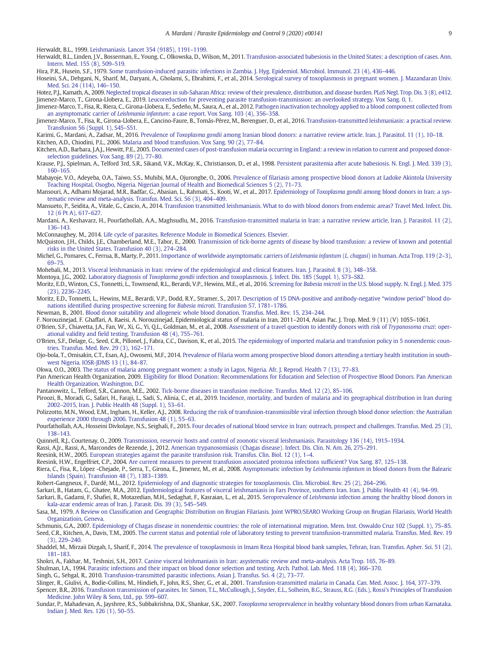<span id="page-8-0"></span>Herwaldt, B.L., 1999. [Leishmaniasis. Lancet 354 \(9185\), 1191](http://refhub.elsevier.com/S2405-6731(20)30010-6/rf0245)–1199.

Herwaldt, B.L., Linden, J.V., Bosserman, E., Young, C., Olkowska, D., Wilson, M., 2011. [Transfusion-associated babesiosis in the United States: a description of cases. Ann.](http://refhub.elsevier.com/S2405-6731(20)30010-6/rf0250) [Intern. Med. 155 \(8\), 509](http://refhub.elsevier.com/S2405-6731(20)30010-6/rf0250)–519.

Hira, P.R., Husein, S.F., 1979. [Some transfusion-induced parasitic infections in Zambia. J. Hyg. Epidemiol. Microbiol. Immunol. 23 \(4\), 436](http://refhub.elsevier.com/S2405-6731(20)30010-6/rf0255)–446.

Hoseini, S.A., Dehgani, N., Sharif, M., Daryani, A., Gholami, S., Ebrahimi, F., et al., 2014. [Serological survey of toxoplasmosis in pregnant women. J. Mazandaran Univ.](http://refhub.elsevier.com/S2405-6731(20)30010-6/rf0260) [Med. Sci. 24 \(114\), 146](http://refhub.elsevier.com/S2405-6731(20)30010-6/rf0260)–150.

Hotez, P.J., Kamath, A., 2009. [Neglected tropical diseases in sub-Saharan Africa: review of their prevalence, distribution, and disease burden. PLoS Negl. Trop. Dis. 3 \(8\), e412.](http://refhub.elsevier.com/S2405-6731(20)30010-6/rf0265) Jimenez-Marco, T., Girona-Llobera, E., 2019. [Leucoreduction for preventing parasite transfusion-transmission: an overlooked strategy. Vox Sang. 0, 1.](http://refhub.elsevier.com/S2405-6731(20)30010-6/rf0270)

Jimenez-Marco, T., Fisa, R., Riera, C., Girona-Llobera, E., Sedeño, M., Saura, A., et al., 2012. [Pathogen inactivation technology applied to a blood component collected from](http://refhub.elsevier.com/S2405-6731(20)30010-6/rf0275) an asymptomatic carrier of Leishmania infantum[: a case report. Vox Sang. 103 \(4\), 356](http://refhub.elsevier.com/S2405-6731(20)30010-6/rf0275)–358.

Jimenez-Marco, T., Fisa, R., Girona-Llobera, E., Cancino-Faure, B., Tomás-Pérez, M., Berenguer, D., et al., 2016. [Transfusion-transmitted leishmaniasis: a practical review.](http://refhub.elsevier.com/S2405-6731(20)30010-6/rf0280) [Transfusion 56 \(Suppl. 1\), S45](http://refhub.elsevier.com/S2405-6731(20)30010-6/rf0280)–S51.

Karimi, G., Mardani, A., Zadsar, M., 2016. Prevalence of Toxoplasma gondii [among Iranian blood donors: a narrative review article. Iran. J. Parasitol. 11 \(1\), 10](http://refhub.elsevier.com/S2405-6731(20)30010-6/rf0285)–18. Kitchen, A.D., Chiodini, P.L., 2006. [Malaria and blood transfusion. Vox Sang. 90 \(2\), 77](http://refhub.elsevier.com/S2405-6731(20)30010-6/rf0290)–84.

Kitchen, A.D., Barbara, J.A.J., Hewitt, P.E., 2005. [Documented cases of post-transfusion malaria occurring in England: a review in relation to current and proposed donor](http://refhub.elsevier.com/S2405-6731(20)30010-6/rf0295)[selection guidelines. Vox Sang. 89 \(2\), 77](http://refhub.elsevier.com/S2405-6731(20)30010-6/rf0295)–80.

Krause, P.J., Spielman, A., Telford 3rd, S.R., Sikand, V.K., McKay, K., Christianson, D., et al., 1998. [Persistent parasitemia after acute babesiosis. N. Engl. J. Med. 339 \(3\),](http://refhub.elsevier.com/S2405-6731(20)30010-6/rf0300) [160](http://refhub.elsevier.com/S2405-6731(20)30010-6/rf0300)–165.

Mabayoje, V.O., Adeyeba, O.A., Taiwo, S.S., Muhibi, M.A., Ojurongbe, O., 2006. [Prevalence of filariasis among prospective blood donors at Ladoke Akintola University](http://refhub.elsevier.com/S2405-6731(20)30010-6/rf0305) [Teaching Hospital, Osogbo, Nigeria. Nigerian Journal of Health and Biomedical Sciences 5 \(2\), 71](http://refhub.elsevier.com/S2405-6731(20)30010-6/rf0305)–73.

Mansouri, A., Adhami Mojarad, M.R., Badfar, G., Abasian, L., Rahmati, S., Kooti, W., et al., 2017. Epidemiology of Toxoplasma gondii [among blood donors in Iran: a sys](http://refhub.elsevier.com/S2405-6731(20)30010-6/rf0310)[tematic review and meta-analysis. Transfus. Med. Sci. 56 \(3\), 404](http://refhub.elsevier.com/S2405-6731(20)30010-6/rf0310)–409.

Mansueto, P., Seidita, A., Vitale, G., Cascio, A., 2014. [Transfusion transmitted leishmaniasis. What to do with blood donors from endemic areas? Travel Med. Infect. Dis.](http://refhub.elsevier.com/S2405-6731(20)30010-6/rf0315) [12 \(6 Pt A\), 617](http://refhub.elsevier.com/S2405-6731(20)30010-6/rf0315)–627.

Mardani, A., Keshavarz, H., Pourfathollah, A.A., Maghsudlu, M., 2016. [Transfusion-transmitted malaria in Iran: a narrative review article, Iran. J. Parasitol. 11 \(2\),](http://refhub.elsevier.com/S2405-6731(20)30010-6/rf0320) [136](http://refhub.elsevier.com/S2405-6731(20)30010-6/rf0320)–143.

McConnaughey, M., 2014. [Life cycle of parasites. Reference Module in Biomedical Sciences. Elsevier.](http://refhub.elsevier.com/S2405-6731(20)30010-6/rf0325)

McQuiston, J.H., Childs, J.E., Chamberland, M.E., Tabor, E., 2000. [Transmission of tick-borne agents of disease by blood transfusion: a review of known and potential](http://refhub.elsevier.com/S2405-6731(20)30010-6/rf0330) [risks in the United States. Transfusion 40 \(3\), 274](http://refhub.elsevier.com/S2405-6731(20)30010-6/rf0330)–284.

Michel, G., Pomares, C., Ferrua, B., Marty, P., 2011. [Importance of worldwide asymptomatic carriers of](http://refhub.elsevier.com/S2405-6731(20)30010-6/rf0335) Leishmania infantum (L. chagasi) in human. Acta Trop. 119 (2–3), [69](http://refhub.elsevier.com/S2405-6731(20)30010-6/rf0335)–75.

Mohebali, M., 2013. [Visceral leishmaniasis in Iran: review of the epidemiological and clinical features. Iran. J. Parasitol. 8 \(3\), 348](http://refhub.elsevier.com/S2405-6731(20)30010-6/rf0340)–358.

Montoya, J.G., 2002. Laboratory diagnosis of Toxoplasma gondii [infection and toxoplasmosis. J. Infect. Dis. 185 \(Suppl. 1\), S73](http://refhub.elsevier.com/S2405-6731(20)30010-6/rf0345)–S82.

- Moritz, E.D., Winton, C.S., Tonnetti, L., Townsend, R.L., Berardi, V.P., Hewins, M.E., et al., 2016. Screening for Babesia microti [in the U.S. blood supply. N. Engl. J. Med. 375](http://refhub.elsevier.com/S2405-6731(20)30010-6/rf0350) [\(23\), 2236](http://refhub.elsevier.com/S2405-6731(20)30010-6/rf0350)–2245.
- Moritz, E.D., Tonnetti, L., Hewins, M.E., Berardi, V.P., Dodd, R.Y., Stramer, S., 2017. [Description of 15 DNA-positive and antibody-negative](http://refhub.elsevier.com/S2405-6731(20)30010-6/rf0355) "window period" blood do[nations identified during prospective screening for](http://refhub.elsevier.com/S2405-6731(20)30010-6/rf0355) Babesia microti. Transfusion 57, 1781–1786.

Newman, B., 2001. [Blood donor suitability and allogeneic whole blood donation. Transfus. Med. Rev. 15, 234](http://refhub.elsevier.com/S2405-6731(20)30010-6/rf0360)–244.

F. Norouzinejad, F. Ghaffari, A. Raeisi, A. Norouzinejad, Epidemiological status of malaria in Iran, 2011–2014, Asian Pac. J. Trop. Med. 9 (11) (V) 1055–1061.

O'Brien, S.F., Chiavetta, J.A., Fan, W., Xi, G., Yi, Q.L., Goldman, M., et al., 2008. [Assessment of a travel question to identify donors with risk of](http://refhub.elsevier.com/S2405-6731(20)30010-6/rf0365) Trypanosoma cruzi: oper[ational validity and field testing. Transfusion 48 \(4\), 755](http://refhub.elsevier.com/S2405-6731(20)30010-6/rf0365)–761.

O'Brien, S.F., Delage, G., Seed, C.R., Pillonel, J., Fabra, C.C., Davison, K., et al., 2015. [The epidemiology of imported malaria and transfusion policy in 5 nonendemic coun](http://refhub.elsevier.com/S2405-6731(20)30010-6/rf0370)[tries. Transfus. Med. Rev. 29 \(3\), 162](http://refhub.elsevier.com/S2405-6731(20)30010-6/rf0370)–171.

Ojo-bola, T., Omisakin, C.T., Esan, A.J., Owoseni, M.F., 2014. [Prevalence of Filaria worm among prospective blood donors attending a tertiary health institution in south](http://refhub.elsevier.com/S2405-6731(20)30010-6/rf0375)[west Nigeria. IOSR-JDMS 13 \(1\), 84](http://refhub.elsevier.com/S2405-6731(20)30010-6/rf0375)–87.

Okwa, O.O., 2003. [The status of malaria among pregnant women: a study in Lagos, Nigeria. Afr. J. Reprod. Health 7 \(13\), 77](http://refhub.elsevier.com/S2405-6731(20)30010-6/rf0380)–83.

Pan American Health Organization, 2009. [Eligibility for Blood Donation: Recommendations for Education and Selection of Prospective Blood Donors. Pan American](http://refhub.elsevier.com/S2405-6731(20)30010-6/rf0385) [Health Organization, Washington, D.C.](http://refhub.elsevier.com/S2405-6731(20)30010-6/rf0385)

Pantanowitz, L., Telford, S.R., Cannon, M.E., 2002. [Tick-borne diseases in transfusion medicine. Transfus. Med. 12 \(2\), 85](http://refhub.elsevier.com/S2405-6731(20)30010-6/rf0390)–106.

Piroozi, B., Moradi, G., Safari, H., Faraji, L., Sadi, S., Alinia, C., et al., 2019. [Incidence, mortality, and burden of malaria and its geographical distribution in Iran during](http://refhub.elsevier.com/S2405-6731(20)30010-6/rf0395)<br>2002–2015, Iran. J. Public Health 48 (Suppl.

Polizzotto, M.N., Wood, E.M., Ingham, H., Keller, A.J., 2008. [Reducing the risk of transfusion-transmissible viral infection through blood donor selection: the Australian](http://refhub.elsevier.com/S2405-6731(20)30010-6/rf0400) [experience 2000 through 2006. Transfusion 48 \(1\), 55](http://refhub.elsevier.com/S2405-6731(20)30010-6/rf0400)–63.

- Pourfathollah, A.A., Hosseini Divkolaye, N.S., Seighali, F., 2015. [Four decades of national blood service in Iran: outreach, prospect and challenges. Transfus. Med. 25 \(3\),](http://refhub.elsevier.com/S2405-6731(20)30010-6/rf0405) [138](http://refhub.elsevier.com/S2405-6731(20)30010-6/rf0405)–143.
- Quinnell, R.J., Courtenay, O., 2009. [Transmission, reservoir hosts and control of zoonotic visceral leishmaniasis. Parasitology 136 \(14\), 1915](http://refhub.elsevier.com/S2405-6731(20)30010-6/rf0410)–1934.

Rassi, A.Jr., Rassi, A., Marcondes de Rezende, J., 2012. [American trypanosomiasis \(Chagas disease\). Infect. Dis. Clin. N. Am. 26, 275](http://refhub.elsevier.com/S2405-6731(20)30010-6/rf0415)–291.

Reesink, H.W., 2005. [European strategies against the parasite transfusion risk. Transfus. Clin. Biol. 12 \(1\), 1](http://refhub.elsevier.com/S2405-6731(20)30010-6/rf0420)–4.

Reesink, H.W., Engelfriet, C.P., 2004. [Are current measures to prevent transfusion associated protozoa infections sufficient? Vox Sang. 87, 125](http://refhub.elsevier.com/S2405-6731(20)30010-6/rf0425)–138.

Riera, C., Fisa, R., López -Chejade, P., Serra, T., Girona, E., Jimenez, M., et al., 2008. Asymptomatic infection by Leishmania infantum [in blood donors from the Balearic](http://refhub.elsevier.com/S2405-6731(20)30010-6/rf0430) [Islands \(Spain\). Transfusion 48 \(7\), 1383](http://refhub.elsevier.com/S2405-6731(20)30010-6/rf0430)–1389.

Robert-Gangneux, F., Dardé, M.L., 2012. [Epidemiology of and diagnostic strategies for toxoplasmosis. Clin. Microbiol. Rev. 25 \(2\), 264](http://refhub.elsevier.com/S2405-6731(20)30010-6/rf0435)–296.

Sarkari, B., Hatam, G., Ghatee, M.A., 2012. [Epidemiological features of visceral leishmaniasis in Fars Province, southern Iran. Iran. J. Public Health 41 \(4\), 94](http://refhub.elsevier.com/S2405-6731(20)30010-6/rf0440)–99.

Sarkari, B., Gadami, F., Shafiei, R., Motazedian, M.H., Sedaghat, F., Kasraian, L., et al., 2015. Seroprevalence of Leishmania [infection among the healthy blood donors in](http://refhub.elsevier.com/S2405-6731(20)30010-6/rf0445) [kala-azar endemic areas of Iran. J. Parasit. Dis. 39 \(3\), 545](http://refhub.elsevier.com/S2405-6731(20)30010-6/rf0445)–549.

Sasa, M., 1979. [A Review on Classification and Geographic Distribution on Brugian Filariasis. Joint WPRO/SEARO Working Group on Brugian Filariasis, World Health](http://refhub.elsevier.com/S2405-6731(20)30010-6/rf0450) [Organizatioin, Geneva.](http://refhub.elsevier.com/S2405-6731(20)30010-6/rf0450)

Schmunis, G.A., 2007. [Epidemiology of Chagas disease in nonendemic countries: the role of international migration. Mem. Inst. Oswaldo Cruz 102 \(Suppl. 1\), 75](http://refhub.elsevier.com/S2405-6731(20)30010-6/rf0455)–85. Seed, C.R., Kitchen, A., Davis, T.M., 2005. [The current status and potential role of laboratory testing to prevent transfusion-transmitted malaria. Transfus. Med. Rev. 19](http://refhub.elsevier.com/S2405-6731(20)30010-6/rf0460) [\(3\), 229](http://refhub.elsevier.com/S2405-6731(20)30010-6/rf0460)–240.

Shaddel, M., Mirzaii Dizgah, I., Sharif, F., 2014. [The prevalence of toxoplasmosis in Imam Reza Hospital blood bank samples, Tehran, Iran. Transfus. Apher. Sci. 51 \(2\),](http://refhub.elsevier.com/S2405-6731(20)30010-6/rf0465) [181](http://refhub.elsevier.com/S2405-6731(20)30010-6/rf0465)–183.

Shokri, A., Fakhar, M., Teshnizi, S.H., 2017. [Canine visceral leishmaniasis in Iran: asystematic review and meta-analysis. Acta Trop. 165, 76](http://refhub.elsevier.com/S2405-6731(20)30010-6/rf0470)–89.

Shulman, I.A., 1994. [Parasitic infections and their impact on blood donor selection and testing. Arch. Pathol. Lab. Med. 118 \(4\), 366](http://refhub.elsevier.com/S2405-6731(20)30010-6/rf0475)–370.

Singh, G., Sehgal, R., 2010. [Transfusion-transmitted parasitic infections. Asian J. Transfus. Sci. 4 \(2\), 73](http://refhub.elsevier.com/S2405-6731(20)30010-6/rf0480)–77.

Slinger, R., Giulivi, A., Bodie-Collins, M., Hindieh, F., John, R.S., Sher, G., et al., 2001. [Transfusion-transmitted malaria in Canada. Can. Med. Assoc. J. 164, 377](http://refhub.elsevier.com/S2405-6731(20)30010-6/rf0485)–379.

Spencer, B.R., 2016. [Transfusion transmission of parasites. In: Simon, T.L., McCullough, J., Snyder, E.L., Solheim, B.G., Strauss, R.G. \(Eds.\), Rossi's Principles of Transfusion](http://refhub.elsevier.com/S2405-6731(20)30010-6/rf0490) [Medicine. John Wiley & Sons, Ltd., pp. 599](http://refhub.elsevier.com/S2405-6731(20)30010-6/rf0490)–607.

Sundar, P., Mahadevan, A., Jayshree, R.S., Subbakrishna, D.K., Shankar, S.K., 2007. Toxoplasma [seroprevalence in healthy voluntary blood donors from urban Karnataka.](http://refhub.elsevier.com/S2405-6731(20)30010-6/rf0495) [Indian J. Med. Res. 126 \(1\), 50](http://refhub.elsevier.com/S2405-6731(20)30010-6/rf0495)–55.